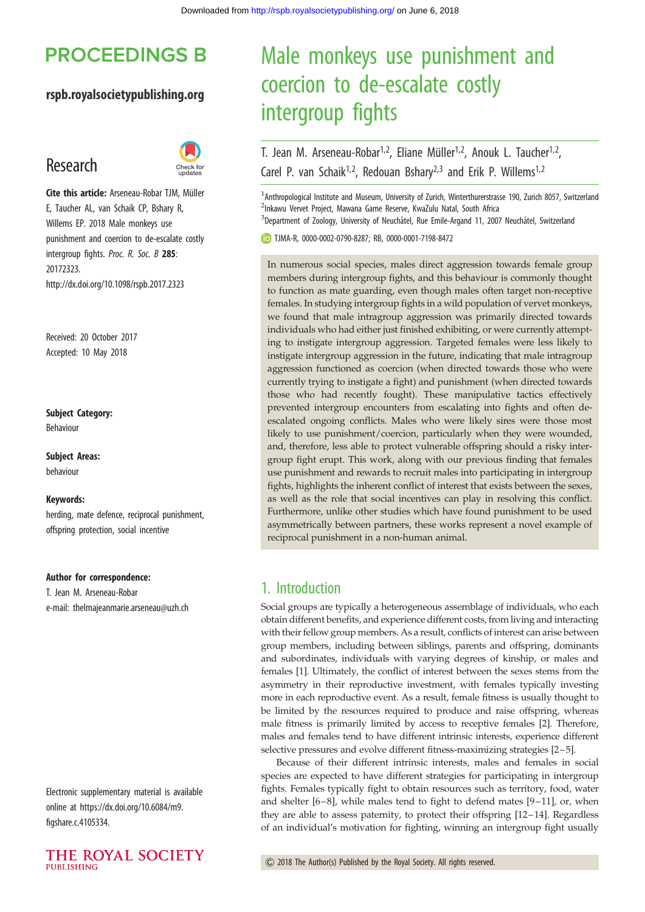## **PROCEEDINGS B**

#### rspb.royalsocietypublishing.org

## Research



Cite this article: Arseneau-Robar TJM, Müller E, Taucher AL, van Schaik CP, Bshary R, Willems EP. 2018 Male monkeys use punishment and coercion to de-escalate costly intergroup fights. Proc. R. Soc. B 285: 20172323. http://dx.doi.org/10.1098/rspb.2017.2323

Received: 20 October 2017 Accepted: 10 May 2018

Subject Category: Behaviour

Subject Areas: behaviour

#### Keywords:

herding, mate defence, reciprocal punishment, offspring protection, social incentive

#### Author for correspondence:

T. Jean M. Arseneau-Robar e-mail: [thelmajeanmarie.arseneau@uzh.ch](mailto:thelmajeanmarie.arseneau@uzh.ch)

Electronic supplementary material is available online at [https://dx.doi.org/10.6084/m9.](https://dx.doi.org/10.6084/m9.figshare.c.4105334) [figshare.c.4105334](https://dx.doi.org/10.6084/m9.figshare.c.4105334).



# Male monkeys use punishment and coercion to de-escalate costly intergroup fights

T. Jean M. Arseneau-Robar<sup>1,2</sup>, Eliane Müller<sup>1,2</sup>, Anouk L. Taucher<sup>1,2</sup>, Carel P. van Schaik<sup>1,2</sup>, Redouan Bshary<sup>2,3</sup> and Erik P. Willems<sup>1,2</sup>

<sup>1</sup> Anthropological Institute and Museum, University of Zurich, Winterthurerstrasse 190, Zurich 8057, Switzerland 2 Inkawu Vervet Project, Mawana Game Reserve, KwaZulu Natal, South Africa  ${}^{3}$ Department of Zoology, University of Neuchâtel, Rue Emile-Argand 11, 2007 Neuchâtel, Switzerland

TJMA-R, [0000-0002-0790-8287](http://orcid.org/0000-0002-0790-8287); RB, [0000-0001-7198-8472](http://orcid.org/0000-0001-7198-8472)

In numerous social species, males direct aggression towards female group members during intergroup fights, and this behaviour is commonly thought to function as mate guarding, even though males often target non-receptive females. In studying intergroup fights in a wild population of vervet monkeys, we found that male intragroup aggression was primarily directed towards individuals who had either just finished exhibiting, or were currently attempting to instigate intergroup aggression. Targeted females were less likely to instigate intergroup aggression in the future, indicating that male intragroup aggression functioned as coercion (when directed towards those who were currently trying to instigate a fight) and punishment (when directed towards those who had recently fought). These manipulative tactics effectively prevented intergroup encounters from escalating into fights and often deescalated ongoing conflicts. Males who were likely sires were those most likely to use punishment/coercion, particularly when they were wounded, and, therefore, less able to protect vulnerable offspring should a risky intergroup fight erupt. This work, along with our previous finding that females use punishment and rewards to recruit males into participating in intergroup fights, highlights the inherent conflict of interest that exists between the sexes, as well as the role that social incentives can play in resolving this conflict. Furthermore, unlike other studies which have found punishment to be used asymmetrically between partners, these works represent a novel example of reciprocal punishment in a non-human animal.

## 1. Introduction

Social groups are typically a heterogeneous assemblage of individuals, who each obtain different benefits, and experience different costs, from living and interacting with their fellow group members. As a result, conflicts of interest can arise between group members, including between siblings, parents and offspring, dominants and subordinates, individuals with varying degrees of kinship, or males and females [\[1](#page-6-0)]. Ultimately, the conflict of interest between the sexes stems from the asymmetry in their reproductive investment, with females typically investing more in each reproductive event. As a result, female fitness is usually thought to be limited by the resources required to produce and raise offspring, whereas male fitness is primarily limited by access to receptive females [\[2\]](#page-6-0). Therefore, males and females tend to have different intrinsic interests, experience different selective pressures and evolve different fitness-maximizing strategies [[2](#page-6-0)–[5\]](#page-6-0).

Because of their different intrinsic interests, males and females in social species are expected to have different strategies for participating in intergroup fights. Females typically fight to obtain resources such as territory, food, water and shelter [\[6](#page-6-0)–[8](#page-6-0)], while males tend to fight to defend mates [\[9](#page-6-0)–[11\]](#page-6-0), or, when they are able to assess paternity, to protect their offspring [\[12](#page-6-0)–[14](#page-6-0)]. Regardless of an individual's motivation for fighting, winning an intergroup fight usually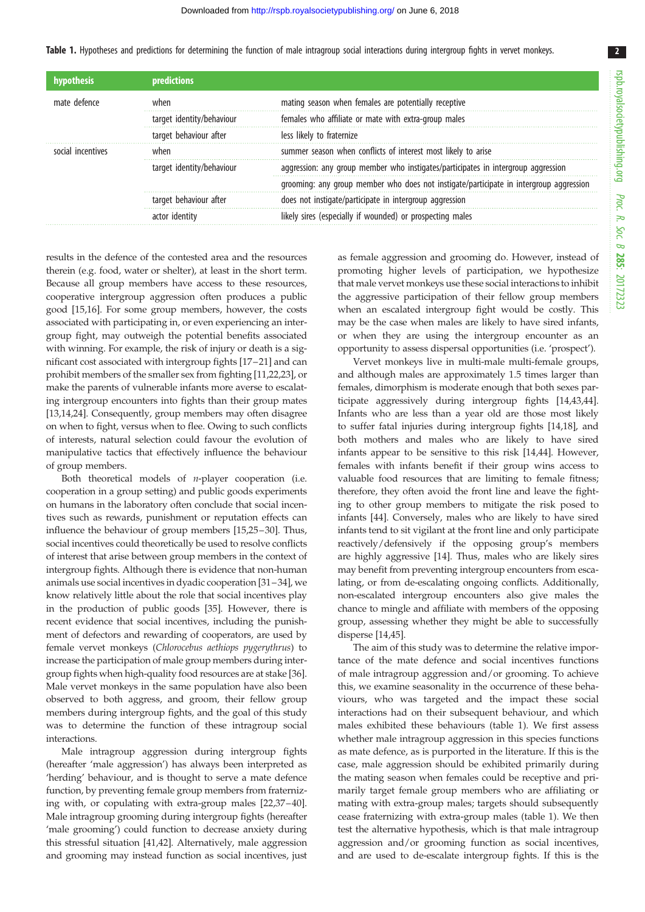<span id="page-1-0"></span>

|  |  |  |  |  |  | Table 1. Hypotheses and predictions for determining the function of male intragroup social interactions during intergroup fights in vervet monkeys. |  |  |  |  |  |  |  |  |  |  |  |  |  |  |
|--|--|--|--|--|--|-----------------------------------------------------------------------------------------------------------------------------------------------------|--|--|--|--|--|--|--|--|--|--|--|--|--|--|
|--|--|--|--|--|--|-----------------------------------------------------------------------------------------------------------------------------------------------------|--|--|--|--|--|--|--|--|--|--|--|--|--|--|

|                   | predictions               |                                                                                        |  |  |  |  |  |  |
|-------------------|---------------------------|----------------------------------------------------------------------------------------|--|--|--|--|--|--|
| mate defence      |                           | mating season when females are potentially receptive                                   |  |  |  |  |  |  |
|                   | target identity/behaviour | females who affiliate or mate with extra-group males                                   |  |  |  |  |  |  |
|                   | target behaviour after    | less likely to fraternize                                                              |  |  |  |  |  |  |
| social incentives |                           | summer season when conflicts of interest most likely to arise                          |  |  |  |  |  |  |
|                   | target identity/behaviour | aggression: any group member who instigates/participates in intergroup aggression      |  |  |  |  |  |  |
|                   |                           | grooming: any group member who does not instigate/participate in intergroup aggression |  |  |  |  |  |  |
|                   | target behaviour after    | does not instigate/participate in intergroup aggression                                |  |  |  |  |  |  |
|                   |                           | likely sires (especially if wounded) or prospecting males                              |  |  |  |  |  |  |

results in the defence of the contested area and the resources therein (e.g. food, water or shelter), at least in the short term. Because all group members have access to these resources, cooperative intergroup aggression often produces a public good [\[15,16](#page-6-0)]. For some group members, however, the costs associated with participating in, or even experiencing an intergroup fight, may outweigh the potential benefits associated with winning. For example, the risk of injury or death is a significant cost associated with intergroup fights [[17](#page-7-0)–[21\]](#page-7-0) and can prohibit members of the smaller sex from fighting [\[11](#page-6-0)[,22,23](#page-7-0)], or make the parents of vulnerable infants more averse to escalating intergroup encounters into fights than their group mates [\[13,14](#page-6-0),[24](#page-7-0)]. Consequently, group members may often disagree on when to fight, versus when to flee. Owing to such conflicts of interests, natural selection could favour the evolution of manipulative tactics that effectively influence the behaviour of group members.

Both theoretical models of  $n$ -player cooperation (i.e. cooperation in a group setting) and public goods experiments on humans in the laboratory often conclude that social incentives such as rewards, punishment or reputation effects can influence the behaviour of group members [\[15](#page-6-0)[,25](#page-7-0)–[30\]](#page-7-0). Thus, social incentives could theoretically be used to resolve conflicts of interest that arise between group members in the context of intergroup fights. Although there is evidence that non-human animals use social incentives in dyadic cooperation [\[31](#page-7-0)–[34](#page-7-0)], we know relatively little about the role that social incentives play in the production of public goods [[35\]](#page-7-0). However, there is recent evidence that social incentives, including the punishment of defectors and rewarding of cooperators, are used by female vervet monkeys (Chlorocebus aethiops pygerythrus) to increase the participation of male group members during intergroup fights when high-quality food resources are at stake [\[36](#page-7-0)]. Male vervet monkeys in the same population have also been observed to both aggress, and groom, their fellow group members during intergroup fights, and the goal of this study was to determine the function of these intragroup social interactions.

Male intragroup aggression during intergroup fights (hereafter 'male aggression') has always been interpreted as 'herding' behaviour, and is thought to serve a mate defence function, by preventing female group members from fraternizing with, or copulating with extra-group males [\[22,37](#page-7-0)–[40](#page-7-0)]. Male intragroup grooming during intergroup fights (hereafter 'male grooming') could function to decrease anxiety during this stressful situation [\[41,42](#page-7-0)]. Alternatively, male aggression and grooming may instead function as social incentives, just

as female aggression and grooming do. However, instead of promoting higher levels of participation, we hypothesize that male vervet monkeys use these social interactions to inhibit the aggressive participation of their fellow group members when an escalated intergroup fight would be costly. This may be the case when males are likely to have sired infants, or when they are using the intergroup encounter as an opportunity to assess dispersal opportunities (i.e. 'prospect').

Vervet monkeys live in multi-male multi-female groups, and although males are approximately 1.5 times larger than females, dimorphism is moderate enough that both sexes participate aggressively during intergroup fights [[14](#page-6-0),[43,44\]](#page-7-0). Infants who are less than a year old are those most likely to suffer fatal injuries during intergroup fights [[14,](#page-6-0)[18\]](#page-7-0), and both mothers and males who are likely to have sired infants appear to be sensitive to this risk [[14,](#page-6-0)[44\]](#page-7-0). However, females with infants benefit if their group wins access to valuable food resources that are limiting to female fitness; therefore, they often avoid the front line and leave the fighting to other group members to mitigate the risk posed to infants [[44\]](#page-7-0). Conversely, males who are likely to have sired infants tend to sit vigilant at the front line and only participate reactively/defensively if the opposing group's members are highly aggressive [[14](#page-6-0)]. Thus, males who are likely sires may benefit from preventing intergroup encounters from escalating, or from de-escalating ongoing conflicts. Additionally, non-escalated intergroup encounters also give males the chance to mingle and affiliate with members of the opposing group, assessing whether they might be able to successfully disperse [[14](#page-6-0),[45\]](#page-7-0).

The aim of this study was to determine the relative importance of the mate defence and social incentives functions of male intragroup aggression and/or grooming. To achieve this, we examine seasonality in the occurrence of these behaviours, who was targeted and the impact these social interactions had on their subsequent behaviour, and which males exhibited these behaviours (table 1). We first assess whether male intragroup aggression in this species functions as mate defence, as is purported in the literature. If this is the case, male aggression should be exhibited primarily during the mating season when females could be receptive and primarily target female group members who are affiliating or mating with extra-group males; targets should subsequently cease fraternizing with extra-group males (table 1). We then test the alternative hypothesis, which is that male intragroup aggression and/or grooming function as social incentives, and are used to de-escalate intergroup fights. If this is the

rspb.royalsocietypublishing.org

Proc. R. Soc. $\sigma$ 

285: 20172323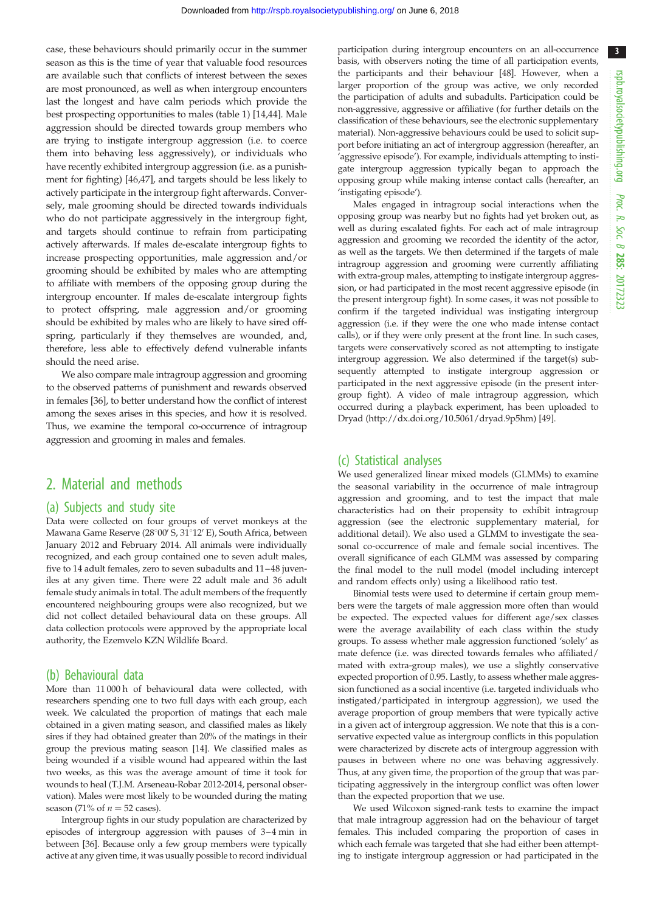3

case, these behaviours should primarily occur in the summer season as this is the time of year that valuable food resources are available such that conflicts of interest between the sexes are most pronounced, as well as when intergroup encounters last the longest and have calm periods which provide the best prospecting opportunities to males [\(table 1](#page-1-0)) [\[14](#page-6-0)[,44](#page-7-0)]. Male aggression should be directed towards group members who are trying to instigate intergroup aggression (i.e. to coerce them into behaving less aggressively), or individuals who have recently exhibited intergroup aggression (i.e. as a punishment for fighting) [\[46](#page-7-0),[47](#page-7-0)], and targets should be less likely to actively participate in the intergroup fight afterwards. Conversely, male grooming should be directed towards individuals who do not participate aggressively in the intergroup fight, and targets should continue to refrain from participating actively afterwards. If males de-escalate intergroup fights to increase prospecting opportunities, male aggression and/or grooming should be exhibited by males who are attempting to affiliate with members of the opposing group during the intergroup encounter. If males de-escalate intergroup fights to protect offspring, male aggression and/or grooming should be exhibited by males who are likely to have sired offspring, particularly if they themselves are wounded, and, therefore, less able to effectively defend vulnerable infants should the need arise.

We also compare male intragroup aggression and grooming to the observed patterns of punishment and rewards observed in females [\[36](#page-7-0)], to better understand how the conflict of interest among the sexes arises in this species, and how it is resolved. Thus, we examine the temporal co-occurrence of intragroup aggression and grooming in males and females.

## 2. Material and methods

#### (a) Subjects and study site

Data were collected on four groups of vervet monkeys at the Mawana Game Reserve (28°00' S, 31°12' E), South Africa, between January 2012 and February 2014. All animals were individually recognized, and each group contained one to seven adult males, five to 14 adult females, zero to seven subadults and 11–48 juveniles at any given time. There were 22 adult male and 36 adult female study animals in total. The adult members of the frequently encountered neighbouring groups were also recognized, but we did not collect detailed behavioural data on these groups. All data collection protocols were approved by the appropriate local authority, the Ezemvelo KZN Wildlife Board.

#### (b) Behavioural data

More than 11 000 h of behavioural data were collected, with researchers spending one to two full days with each group, each week. We calculated the proportion of matings that each male obtained in a given mating season, and classified males as likely sires if they had obtained greater than 20% of the matings in their group the previous mating season [\[14\]](#page-6-0). We classified males as being wounded if a visible wound had appeared within the last two weeks, as this was the average amount of time it took for wounds to heal (T.J.M. Arseneau-Robar 2012-2014, personal observation). Males were most likely to be wounded during the mating season (71% of  $n = 52$  cases).

Intergroup fights in our study population are characterized by episodes of intergroup aggression with pauses of 3–4 min in between [[36](#page-7-0)]. Because only a few group members were typically active at any given time, it was usually possible to record individual participation during intergroup encounters on an all-occurrence basis, with observers noting the time of all participation events, the participants and their behaviour [\[48\]](#page-7-0). However, when a larger proportion of the group was active, we only recorded the participation of adults and subadults. Participation could be non-aggressive, aggressive or affiliative (for further details on the classification of these behaviours, see the electronic supplementary material). Non-aggressive behaviours could be used to solicit support before initiating an act of intergroup aggression (hereafter, an 'aggressive episode'). For example, individuals attempting to instigate intergroup aggression typically began to approach the opposing group while making intense contact calls (hereafter, an 'instigating episode').

Males engaged in intragroup social interactions when the opposing group was nearby but no fights had yet broken out, as well as during escalated fights. For each act of male intragroup aggression and grooming we recorded the identity of the actor, as well as the targets. We then determined if the targets of male intragroup aggression and grooming were currently affiliating with extra-group males, attempting to instigate intergroup aggression, or had participated in the most recent aggressive episode (in the present intergroup fight). In some cases, it was not possible to confirm if the targeted individual was instigating intergroup aggression (i.e. if they were the one who made intense contact calls), or if they were only present at the front line. In such cases, targets were conservatively scored as not attempting to instigate intergroup aggression. We also determined if the target(s) subsequently attempted to instigate intergroup aggression or participated in the next aggressive episode (in the present intergroup fight). A video of male intragroup aggression, which occurred during a playback experiment, has been uploaded to Dryad [\(http://dx.doi.org/10.5061/dryad.9p5hm](http://dx.doi.org/10.5061/dryad.9p5hm)) [\[49\]](#page-7-0).

#### (c) Statistical analyses

We used generalized linear mixed models (GLMMs) to examine the seasonal variability in the occurrence of male intragroup aggression and grooming, and to test the impact that male characteristics had on their propensity to exhibit intragroup aggression (see the electronic supplementary material, for additional detail). We also used a GLMM to investigate the seasonal co-occurrence of male and female social incentives. The overall significance of each GLMM was assessed by comparing the final model to the null model (model including intercept and random effects only) using a likelihood ratio test.

Binomial tests were used to determine if certain group members were the targets of male aggression more often than would be expected. The expected values for different age/sex classes were the average availability of each class within the study groups. To assess whether male aggression functioned 'solely' as mate defence (i.e. was directed towards females who affiliated/ mated with extra-group males), we use a slightly conservative expected proportion of 0.95. Lastly, to assess whether male aggression functioned as a social incentive (i.e. targeted individuals who instigated/participated in intergroup aggression), we used the average proportion of group members that were typically active in a given act of intergroup aggression. We note that this is a conservative expected value as intergroup conflicts in this population were characterized by discrete acts of intergroup aggression with pauses in between where no one was behaving aggressively. Thus, at any given time, the proportion of the group that was participating aggressively in the intergroup conflict was often lower than the expected proportion that we use.

We used Wilcoxon signed-rank tests to examine the impact that male intragroup aggression had on the behaviour of target females. This included comparing the proportion of cases in which each female was targeted that she had either been attempting to instigate intergroup aggression or had participated in the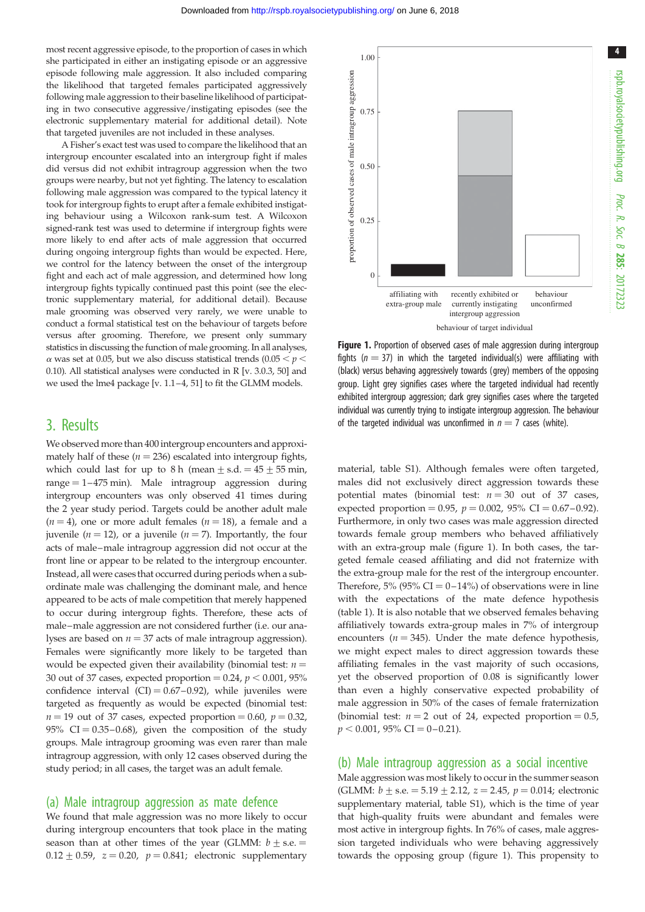4

most recent aggressive episode, to the proportion of cases in which she participated in either an instigating episode or an aggressive episode following male aggression. It also included comparing the likelihood that targeted females participated aggressively following male aggression to their baseline likelihood of participating in two consecutive aggressive/instigating episodes (see the electronic supplementary material for additional detail). Note that targeted juveniles are not included in these analyses.

A Fisher's exact test was used to compare the likelihood that an intergroup encounter escalated into an intergroup fight if males did versus did not exhibit intragroup aggression when the two groups were nearby, but not yet fighting. The latency to escalation following male aggression was compared to the typical latency it took for intergroup fights to erupt after a female exhibited instigating behaviour using a Wilcoxon rank-sum test. A Wilcoxon signed-rank test was used to determine if intergroup fights were more likely to end after acts of male aggression that occurred during ongoing intergroup fights than would be expected. Here, we control for the latency between the onset of the intergroup fight and each act of male aggression, and determined how long intergroup fights typically continued past this point (see the electronic supplementary material, for additional detail). Because male grooming was observed very rarely, we were unable to conduct a formal statistical test on the behaviour of targets before versus after grooming. Therefore, we present only summary statistics in discussing the function of male grooming. In all analyses,  $\alpha$  was set at 0.05, but we also discuss statistical trends (0.05  $\lt p \lt$ 0.10). All statistical analyses were conducted in R [v. 3.0.3, [50](#page-7-0)] and we used the lme4 package [v. 1.1–4, [51](#page-7-0)] to fit the GLMM models.

## 3. Results

We observed more than 400 intergroup encounters and approximately half of these ( $n = 236$ ) escalated into intergroup fights, which could last for up to 8 h (mean  $+ s.d. = 45 + 55$  min, range  $= 1-475$  min). Male intragroup aggression during intergroup encounters was only observed 41 times during the 2 year study period. Targets could be another adult male  $(n = 4)$ , one or more adult females  $(n = 18)$ , a female and a juvenile ( $n = 12$ ), or a juvenile ( $n = 7$ ). Importantly, the four acts of male–male intragroup aggression did not occur at the front line or appear to be related to the intergroup encounter. Instead, all were cases that occurred during periods when a subordinate male was challenging the dominant male, and hence appeared to be acts of male competition that merely happened to occur during intergroup fights. Therefore, these acts of male–male aggression are not considered further (i.e. our analyses are based on  $n = 37$  acts of male intragroup aggression). Females were significantly more likely to be targeted than would be expected given their availability (binomial test:  $n =$ 30 out of 37 cases, expected proportion  $= 0.24$ ,  $p < 0.001$ , 95% confidence interval (CI) =  $0.67-0.92$ ), while juveniles were targeted as frequently as would be expected (binomial test:  $n = 19$  out of 37 cases, expected proportion = 0.60,  $p = 0.32$ , 95%  $CI = 0.35-0.68$ , given the composition of the study groups. Male intragroup grooming was even rarer than male intragroup aggression, with only 12 cases observed during the study period; in all cases, the target was an adult female.

#### (a) Male intragroup aggression as mate defence

We found that male aggression was no more likely to occur during intergroup encounters that took place in the mating season than at other times of the year (GLMM:  $b \pm s.e.$  = 0.12  $\pm$  0.59,  $z = 0.20$ ,  $p = 0.841$ ; electronic supplementary



Figure 1. Proportion of observed cases of male aggression during intergroup fights ( $n = 37$ ) in which the targeted individual(s) were affiliating with (black) versus behaving aggressively towards (grey) members of the opposing group. Light grey signifies cases where the targeted individual had recently exhibited intergroup aggression; dark grey signifies cases where the targeted individual was currently trying to instigate intergroup aggression. The behaviour of the targeted individual was unconfirmed in  $n = 7$  cases (white).

material, table S1). Although females were often targeted, males did not exclusively direct aggression towards these potential mates (binomial test:  $n = 30$  out of 37 cases, expected proportion = 0.95,  $p = 0.002$ , 95% CI = 0.67-0.92). Furthermore, in only two cases was male aggression directed towards female group members who behaved affiliatively with an extra-group male (figure 1). In both cases, the targeted female ceased affiliating and did not fraternize with the extra-group male for the rest of the intergroup encounter. Therefore, 5% (95% CI =  $0-14%$ ) of observations were in line with the expectations of the mate defence hypothesis ([table 1\)](#page-1-0). It is also notable that we observed females behaving affiliatively towards extra-group males in 7% of intergroup encounters ( $n = 345$ ). Under the mate defence hypothesis, we might expect males to direct aggression towards these affiliating females in the vast majority of such occasions, yet the observed proportion of 0.08 is significantly lower than even a highly conservative expected probability of male aggression in 50% of the cases of female fraternization (binomial test:  $n = 2$  out of 24, expected proportion = 0.5,  $p < 0.001$ , 95% CI = 0-0.21).

#### (b) Male intragroup aggression as a social incentive

Male aggression was most likely to occur in the summer season (GLMM:  $b \pm s.e. = 5.19 \pm 2.12$ ,  $z = 2.45$ ,  $p = 0.014$ ; electronic supplementary material, table S1), which is the time of year that high-quality fruits were abundant and females were most active in intergroup fights. In 76% of cases, male aggression targeted individuals who were behaving aggressively towards the opposing group (figure 1). This propensity to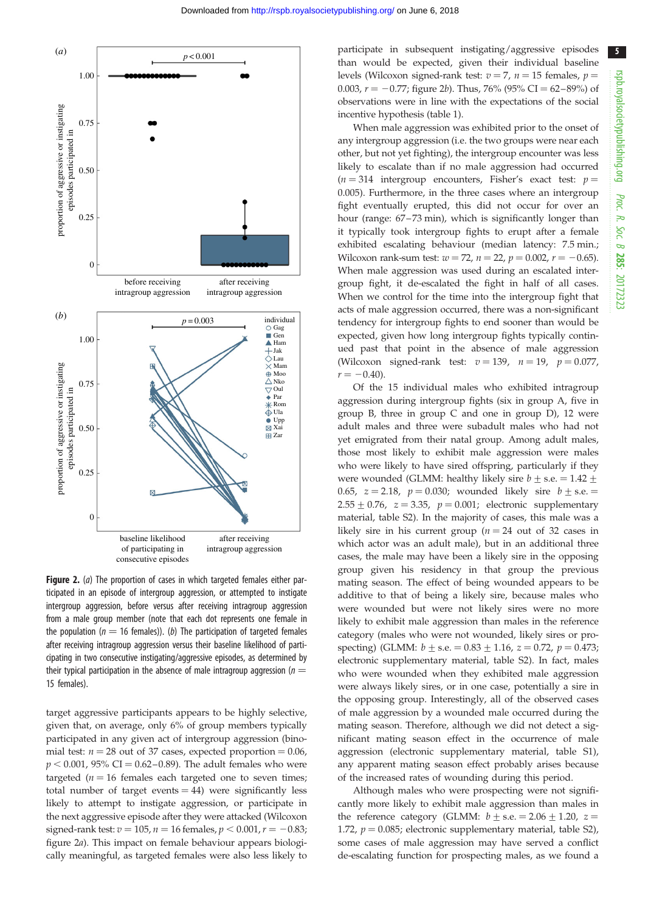

Figure 2. (a) The proportion of cases in which targeted females either participated in an episode of intergroup aggression, or attempted to instigate intergroup aggression, before versus after receiving intragroup aggression from a male group member (note that each dot represents one female in the population ( $n = 16$  females)). (b) The participation of targeted females after receiving intragroup aggression versus their baseline likelihood of participating in two consecutive instigating/aggressive episodes, as determined by their typical participation in the absence of male intragroup aggression ( $n =$ 15 females).

target aggressive participants appears to be highly selective, given that, on average, only 6% of group members typically participated in any given act of intergroup aggression (binomial test:  $n = 28$  out of 37 cases, expected proportion = 0.06,  $p < 0.001$ , 95% CI = 0.62–0.89). The adult females who were targeted ( $n = 16$  females each targeted one to seven times; total number of target events  $= 44$ ) were significantly less likely to attempt to instigate aggression, or participate in the next aggressive episode after they were attacked (Wilcoxon signed-rank test:  $v = 105$ ,  $n = 16$  females,  $p < 0.001$ ,  $r = -0.83$ ; figure 2a). This impact on female behaviour appears biologically meaningful, as targeted females were also less likely to

participate in subsequent instigating/aggressive episodes than would be expected, given their individual baseline levels (Wilcoxon signed-rank test:  $v = 7$ ,  $n = 15$  females,  $p =$ 0.003,  $r = -0.77$ ; figure 2b). Thus, 76% (95% CI = 62–89%) of observations were in line with the expectations of the social incentive hypothesis [\(table 1\)](#page-1-0).

When male aggression was exhibited prior to the onset of any intergroup aggression (i.e. the two groups were near each other, but not yet fighting), the intergroup encounter was less likely to escalate than if no male aggression had occurred  $(n = 314$  intergroup encounters, Fisher's exact test:  $p =$ 0.005). Furthermore, in the three cases where an intergroup fight eventually erupted, this did not occur for over an hour (range: 67-73 min), which is significantly longer than it typically took intergroup fights to erupt after a female exhibited escalating behaviour (median latency: 7.5 min.; Wilcoxon rank-sum test:  $w = 72$ ,  $n = 22$ ,  $p = 0.002$ ,  $r = -0.65$ ). When male aggression was used during an escalated intergroup fight, it de-escalated the fight in half of all cases. When we control for the time into the intergroup fight that acts of male aggression occurred, there was a non-significant tendency for intergroup fights to end sooner than would be expected, given how long intergroup fights typically continued past that point in the absence of male aggression (Wilcoxon signed-rank test:  $v = 139$ ,  $n = 19$ ,  $p = 0.077$ ,  $r = -0.40$ ).

Of the 15 individual males who exhibited intragroup aggression during intergroup fights (six in group A, five in group B, three in group C and one in group D), 12 were adult males and three were subadult males who had not yet emigrated from their natal group. Among adult males, those most likely to exhibit male aggression were males who were likely to have sired offspring, particularly if they were wounded (GLMM: healthy likely sire  $b \pm s.e. = 1.42 \pm$ 0.65,  $z = 2.18$ ,  $p = 0.030$ ; wounded likely sire  $b \pm s.e.$  $2.55 \pm 0.76$ ,  $z = 3.35$ ,  $p = 0.001$ ; electronic supplementary material, table S2). In the majority of cases, this male was a likely sire in his current group ( $n = 24$  out of 32 cases in which actor was an adult male), but in an additional three cases, the male may have been a likely sire in the opposing group given his residency in that group the previous mating season. The effect of being wounded appears to be additive to that of being a likely sire, because males who were wounded but were not likely sires were no more likely to exhibit male aggression than males in the reference category (males who were not wounded, likely sires or prospecting) (GLMM:  $b +$ s.e. = 0.83 + 1.16,  $z = 0.72$ ,  $p = 0.473$ ; electronic supplementary material, table S2). In fact, males who were wounded when they exhibited male aggression were always likely sires, or in one case, potentially a sire in the opposing group. Interestingly, all of the observed cases of male aggression by a wounded male occurred during the mating season. Therefore, although we did not detect a significant mating season effect in the occurrence of male aggression (electronic supplementary material, table S1), any apparent mating season effect probably arises because of the increased rates of wounding during this period.

Although males who were prospecting were not significantly more likely to exhibit male aggression than males in the reference category (GLMM:  $b \pm s.e. = 2.06 \pm 1.20$ ,  $z =$ 1.72,  $p = 0.085$ ; electronic supplementary material, table S2), some cases of male aggression may have served a conflict de-escalating function for prospecting males, as we found a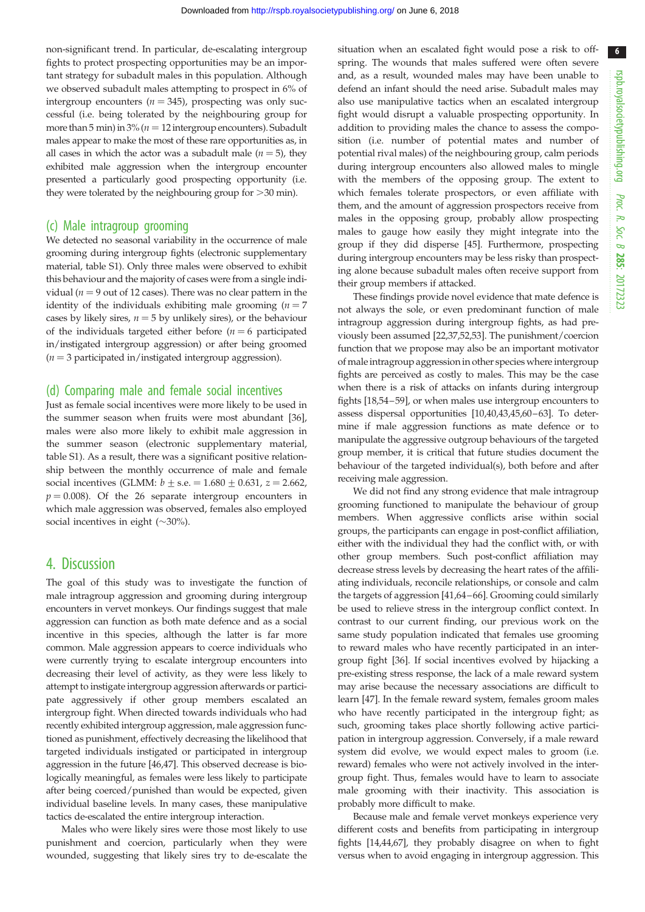6

non-significant trend. In particular, de-escalating intergroup fights to protect prospecting opportunities may be an important strategy for subadult males in this population. Although we observed subadult males attempting to prospect in 6% of intergroup encounters ( $n = 345$ ), prospecting was only successful (i.e. being tolerated by the neighbouring group for more than 5 min) in  $3\%$  ( $n = 12$  intergroup encounters). Subadult males appear to make the most of these rare opportunities as, in all cases in which the actor was a subadult male  $(n = 5)$ , they exhibited male aggression when the intergroup encounter presented a particularly good prospecting opportunity (i.e. they were tolerated by the neighbouring group for  $>$  30 min).

#### (c) Male intragroup grooming

We detected no seasonal variability in the occurrence of male grooming during intergroup fights (electronic supplementary material, table S1). Only three males were observed to exhibit this behaviour and the majority of cases were from a single individual ( $n = 9$  out of 12 cases). There was no clear pattern in the identity of the individuals exhibiting male grooming ( $n = 7$ ) cases by likely sires,  $n = 5$  by unlikely sires), or the behaviour of the individuals targeted either before ( $n = 6$  participated in/instigated intergroup aggression) or after being groomed  $(n = 3$  participated in/instigated intergroup aggression).

#### (d) Comparing male and female social incentives

Just as female social incentives were more likely to be used in the summer season when fruits were most abundant [\[36](#page-7-0)], males were also more likely to exhibit male aggression in the summer season (electronic supplementary material, table S1). As a result, there was a significant positive relationship between the monthly occurrence of male and female social incentives (GLMM:  $b \pm s.e. = 1.680 \pm 0.631$ ,  $z = 2.662$ ,  $p = 0.008$ ). Of the 26 separate intergroup encounters in which male aggression was observed, females also employed social incentives in eight ( $\sim$ 30%).

### 4. Discussion

The goal of this study was to investigate the function of male intragroup aggression and grooming during intergroup encounters in vervet monkeys. Our findings suggest that male aggression can function as both mate defence and as a social incentive in this species, although the latter is far more common. Male aggression appears to coerce individuals who were currently trying to escalate intergroup encounters into decreasing their level of activity, as they were less likely to attempt to instigate intergroup aggression afterwards or participate aggressively if other group members escalated an intergroup fight. When directed towards individuals who had recently exhibited intergroup aggression, male aggression functioned as punishment, effectively decreasing the likelihood that targeted individuals instigated or participated in intergroup aggression in the future [\[46,47\]](#page-7-0). This observed decrease is biologically meaningful, as females were less likely to participate after being coerced/punished than would be expected, given individual baseline levels. In many cases, these manipulative tactics de-escalated the entire intergroup interaction.

Males who were likely sires were those most likely to use punishment and coercion, particularly when they were wounded, suggesting that likely sires try to de-escalate the situation when an escalated fight would pose a risk to offspring. The wounds that males suffered were often severe and, as a result, wounded males may have been unable to defend an infant should the need arise. Subadult males may also use manipulative tactics when an escalated intergroup fight would disrupt a valuable prospecting opportunity. In addition to providing males the chance to assess the composition (i.e. number of potential mates and number of potential rival males) of the neighbouring group, calm periods during intergroup encounters also allowed males to mingle with the members of the opposing group. The extent to which females tolerate prospectors, or even affiliate with them, and the amount of aggression prospectors receive from males in the opposing group, probably allow prospecting males to gauge how easily they might integrate into the group if they did disperse [\[45](#page-7-0)]. Furthermore, prospecting during intergroup encounters may be less risky than prospecting alone because subadult males often receive support from their group members if attacked.

These findings provide novel evidence that mate defence is not always the sole, or even predominant function of male intragroup aggression during intergroup fights, as had previously been assumed [[22](#page-7-0),[37](#page-7-0),[52](#page-7-0),[53](#page-7-0)]. The punishment/coercion function that we propose may also be an important motivator of male intragroup aggression in other species where intergroup fights are perceived as costly to males. This may be the case when there is a risk of attacks on infants during intergroup fights [[18,54](#page-7-0)–[59\]](#page-7-0), or when males use intergroup encounters to assess dispersal opportunities [\[10](#page-6-0)[,40,43,45,60](#page-7-0)–[63\]](#page-7-0). To determine if male aggression functions as mate defence or to manipulate the aggressive outgroup behaviours of the targeted group member, it is critical that future studies document the behaviour of the targeted individual(s), both before and after receiving male aggression.

We did not find any strong evidence that male intragroup grooming functioned to manipulate the behaviour of group members. When aggressive conflicts arise within social groups, the participants can engage in post-conflict affiliation, either with the individual they had the conflict with, or with other group members. Such post-conflict affiliation may decrease stress levels by decreasing the heart rates of the affiliating individuals, reconcile relationships, or console and calm the targets of aggression [\[41](#page-7-0)[,64](#page-8-0)–[66\]](#page-8-0). Grooming could similarly be used to relieve stress in the intergroup conflict context. In contrast to our current finding, our previous work on the same study population indicated that females use grooming to reward males who have recently participated in an intergroup fight [[36\]](#page-7-0). If social incentives evolved by hijacking a pre-existing stress response, the lack of a male reward system may arise because the necessary associations are difficult to learn [[47\]](#page-7-0). In the female reward system, females groom males who have recently participated in the intergroup fight; as such, grooming takes place shortly following active participation in intergroup aggression. Conversely, if a male reward system did evolve, we would expect males to groom (i.e. reward) females who were not actively involved in the intergroup fight. Thus, females would have to learn to associate male grooming with their inactivity. This association is probably more difficult to make.

Because male and female vervet monkeys experience very different costs and benefits from participating in intergroup fights [\[14](#page-6-0)[,44](#page-7-0)[,67](#page-8-0)], they probably disagree on when to fight versus when to avoid engaging in intergroup aggression. This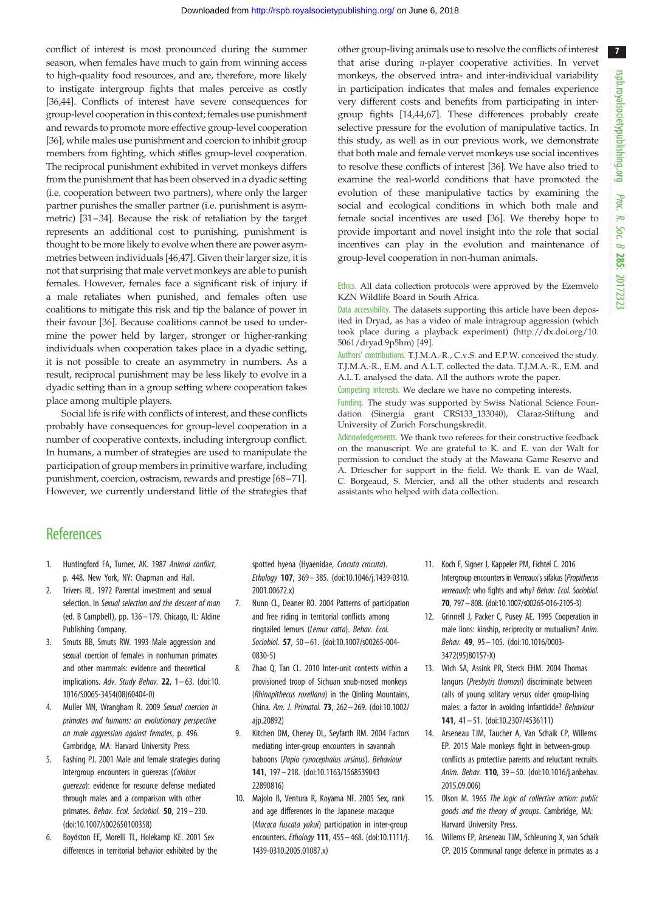<span id="page-6-0"></span>conflict of interest is most pronounced during the summer season, when females have much to gain from winning access to high-quality food resources, and are, therefore, more likely to instigate intergroup fights that males perceive as costly [\[36,44](#page-7-0)]. Conflicts of interest have severe consequences for group-level cooperation in this context; females use punishment and rewards to promote more effective group-level cooperation [\[36](#page-7-0)], while males use punishment and coercion to inhibit group members from fighting, which stifles group-level cooperation. The reciprocal punishment exhibited in vervet monkeys differs from the punishment that has been observed in a dyadic setting (i.e. cooperation between two partners), where only the larger partner punishes the smaller partner (i.e. punishment is asymmetric) [\[31](#page-7-0)–[34](#page-7-0)]. Because the risk of retaliation by the target represents an additional cost to punishing, punishment is thought to be more likely to evolve when there are power asymmetries between individuals [[46,47](#page-7-0)]. Given their larger size, it is not that surprising that male vervet monkeys are able to punish females. However, females face a significant risk of injury if a male retaliates when punished, and females often use coalitions to mitigate this risk and tip the balance of power in their favour [\[36](#page-7-0)]. Because coalitions cannot be used to undermine the power held by larger, stronger or higher-ranking individuals when cooperation takes place in a dyadic setting, it is not possible to create an asymmetry in numbers. As a result, reciprocal punishment may be less likely to evolve in a dyadic setting than in a group setting where cooperation takes place among multiple players.

Social life is rife with conflicts of interest, and these conflicts probably have consequences for group-level cooperation in a number of cooperative contexts, including intergroup conflict. In humans, a number of strategies are used to manipulate the participation of group members in primitive warfare, including punishment, coercion, ostracism, rewards and prestige [[68](#page-8-0)–[71](#page-8-0)]. However, we currently understand little of the strategies that other group-living animals use to resolve the conflicts of interest that arise during n-player cooperative activities. In vervet monkeys, the observed intra- and inter-individual variability in participation indicates that males and females experience very different costs and benefits from participating in intergroup fights [14,[44,](#page-7-0)[67\]](#page-8-0). These differences probably create selective pressure for the evolution of manipulative tactics. In this study, as well as in our previous work, we demonstrate that both male and female vervet monkeys use social incentives to resolve these conflicts of interest [\[36](#page-7-0)]. We have also tried to examine the real-world conditions that have promoted the evolution of these manipulative tactics by examining the social and ecological conditions in which both male and female social incentives are used [[36](#page-7-0)]. We thereby hope to provide important and novel insight into the role that social incentives can play in the evolution and maintenance of group-level cooperation in non-human animals.

Ethics. All data collection protocols were approved by the Ezemvelo KZN Wildlife Board in South Africa.

Data accessibility. The datasets supporting this article have been deposited in Dryad, as has a video of male intragroup aggression (which took place during a playback experiment) ([http://dx.doi.org/10.](http://dx.doi.org/10.5061/dryad.9p5hm) [5061/dryad.9p5hm\)](http://dx.doi.org/10.5061/dryad.9p5hm) [[49\]](#page-7-0).

Authors' contributions. T.J.M.A.-R., C.v.S. and E.P.W. conceived the study. T.J.M.A.-R., E.M. and A.L.T. collected the data. T.J.M.A.-R., E.M. and A.L.T. analysed the data. All the authors wrote the paper.

Competing interests. We declare we have no competing interests.

Funding. The study was supported by Swiss National Science Foundation (Sinergia grant CRS133\_133040), Claraz-Stiftung and University of Zurich Forschungskredit.

Acknowledgements. We thank two referees for their constructive feedback on the manuscript. We are grateful to K. and E. van der Walt for permission to conduct the study at the Mawana Game Reserve and A. Driescher for support in the field. We thank E. van de Waal, C. Borgeaud, S. Mercier, and all the other students and research assistants who helped with data collection.

## **References**

- 1. Huntingford FA, Turner, AK. 1987 Animal conflict, p. 448. New York, NY: Chapman and Hall.
- 2. Trivers RL. 1972 Parental investment and sexual selection. In Sexual selection and the descent of man (ed. B Campbell), pp. 136– 179. Chicago, IL: Aldine Publishing Company.
- 3. Smuts BB, Smuts RW. 1993 Male aggression and sexual coercion of females in nonhuman primates and other mammals: evidence and theoretical implications. Adv. Study Behav.  $22$ ,  $1-63$ . ([doi:10.](http://dx.doi.org/10.1016/S0065-3454(08)60404-0) [1016/S0065-3454\(08\)60404-0\)](http://dx.doi.org/10.1016/S0065-3454(08)60404-0)
- 4. Muller MN, Wrangham R. 2009 Sexual coercion in primates and humans: an evolutionary perspective on male aggression against females, p. 496. Cambridge, MA: Harvard University Press.
- 5. Fashing PJ. 2001 Male and female strategies during intergroup encounters in querezas (Colobus guereza): evidence for resource defense mediated through males and a comparison with other primates. Behav. Ecol. Sociobiol. 50, 219 – 230. [\(doi:10.1007/s002650100358\)](http://dx.doi.org/10.1007/s002650100358)
- 6. Boydston EE, Morelli TL, Holekamp KE. 2001 Sex differences in territorial behavior exhibited by the

spotted hyena (Hyaenidae, Crocuta crocuta). Ethology 107, 369– 385. ([doi:10.1046/j.1439-0310.](http://dx.doi.org/10.1046/j.1439-0310.2001.00672.x) [2001.00672.x\)](http://dx.doi.org/10.1046/j.1439-0310.2001.00672.x)

- 7. Nunn CL, Deaner RO. 2004 Patterns of participation and free riding in territorial conflicts among ringtailed lemurs (Lemur catta). Behav. Ecol. Sociobiol. 57, 50-61. [\(doi:10.1007/s00265-004-](http://dx.doi.org/10.1007/s00265-004-0830-5) [0830-5](http://dx.doi.org/10.1007/s00265-004-0830-5))
- 8. Zhao Q, Tan CL. 2010 Inter-unit contests within a provisioned troop of Sichuan snub-nosed monkeys (Rhinopithecus roxellana) in the Qinling Mountains, China. Am. J. Primatol. 73, 262– 269. [\(doi:10.1002/](http://dx.doi.org/10.1002/ajp.20892) [ajp.20892\)](http://dx.doi.org/10.1002/ajp.20892)
- 9. Kitchen DM, Cheney DL, Seyfarth RM. 2004 Factors mediating inter-group encounters in savannah baboons (Papio cynocephalus ursinus). Behaviour 141, 197 – 218. [\(doi:10.1163/1568539043](http://dx.doi.org/10.1163/156853904322890816) [22890816\)](http://dx.doi.org/10.1163/156853904322890816)
- 10. Majolo B, Ventura R, Koyama NF. 2005 Sex, rank and age differences in the Japanese macaque (Macaca fuscata yakui) participation in inter-group encounters. Ethology 111, 455 – 468. [\(doi:10.1111/j.](http://dx.doi.org/10.1111/j.1439-0310.2005.01087.x) [1439-0310.2005.01087.x\)](http://dx.doi.org/10.1111/j.1439-0310.2005.01087.x)
- 11. Koch F, Signer J, Kappeler PM, Fichtel C. 2016 Intergroup encounters in Verreaux's sifakas (Propithecus verreauxi): who fights and why? Behav. Ecol. Sociobiol. 70, 797–808. [\(doi:10.1007/s00265-016-2105-3\)](http://dx.doi.org/10.1007/s00265-016-2105-3)
- 12. Grinnell J, Packer C, Pusey AE. 1995 Cooperation in male lions: kinship, reciprocity or mutualism? Anim. Behav. 49, 95– 105. ([doi:10.1016/0003-](http://dx.doi.org/10.1016/0003-3472(95)80157-X) [3472\(95\)80157-X](http://dx.doi.org/10.1016/0003-3472(95)80157-X))
- 13. Wich SA, Assink PR, Sterck EHM. 2004 Thomas langurs (Presbytis thomasi) discriminate between calls of young solitary versus older group-living males: a factor in avoiding infanticide? Behaviour 141, 41-51. [\(doi:10.2307/4536111\)](http://dx.doi.org/10.2307/4536111)
- 14. Arseneau TJM, Taucher A, Van Schaik CP, Willems EP. 2015 Male monkeys fight in between-group conflicts as protective parents and reluctant recruits. Anim. Behav. 110, 39 – 50. ([doi:10.1016/j.anbehav.](http://dx.doi.org/10.1016/j.anbehav.2015.09.006) [2015.09.006](http://dx.doi.org/10.1016/j.anbehav.2015.09.006))
- 15. Olson M. 1965 The logic of collective action: public goods and the theory of groups. Cambridge, MA: Harvard University Press.
- 16. Willems EP, Arseneau TJM, Schleuning X, van Schaik CP. 2015 Communal range defence in primates as a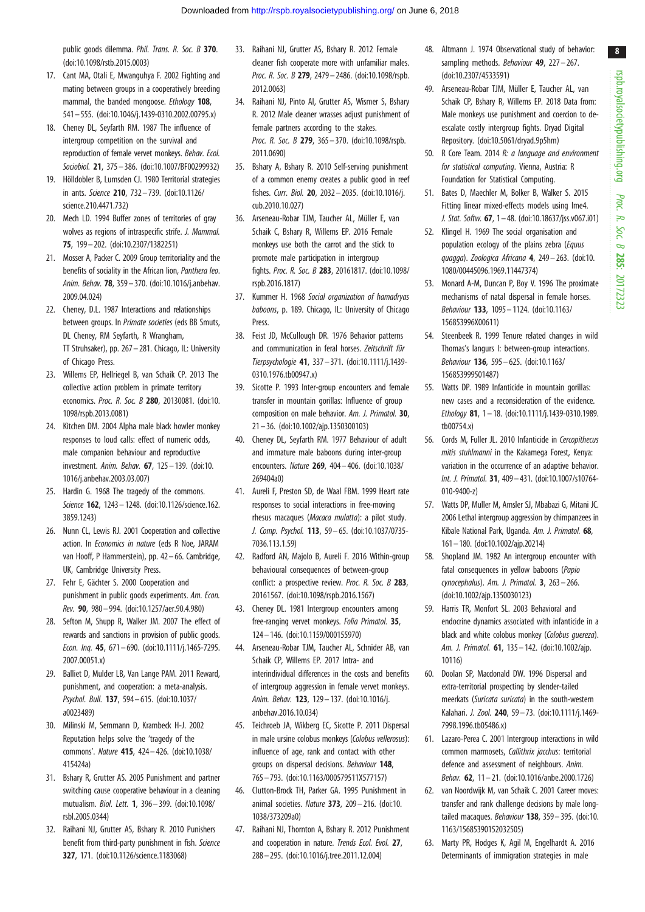<span id="page-7-0"></span>public goods dilemma. Phil. Trans. R. Soc. B 370. [\(doi:10.1098/rstb.2015.0003\)](http://dx.doi.org/10.1098/rstb.2015.0003)

- 17. Cant MA, Otali E, Mwanguhya F. 2002 Fighting and mating between groups in a cooperatively breeding mammal, the banded mongoose. Ethology 108, 541– 555. ([doi:10.1046/j.1439-0310.2002.00795.x](http://dx.doi.org/10.1046/j.1439-0310.2002.00795.x))
- 18. Cheney DL, Seyfarth RM. 1987 The influence of intergroup competition on the survival and reproduction of female vervet monkeys. Behav. Ecol. Sociobiol. 21, 375– 386. ([doi:10.1007/BF00299932](http://dx.doi.org/10.1007/BF00299932))
- 19. Hölldobler B, Lumsden CJ. 1980 Territorial strategies in ants. Science 210, 732– 739. ([doi:10.1126/](http://dx.doi.org/10.1126/science.210.4471.732) [science.210.4471.732](http://dx.doi.org/10.1126/science.210.4471.732))
- 20. Mech LD. 1994 Buffer zones of territories of gray wolves as regions of intraspecific strife. J. Mammal. 75, 199– 202. ([doi:10.2307/1382251\)](http://dx.doi.org/10.2307/1382251)
- 21. Mosser A, Packer C. 2009 Group territoriality and the benefits of sociality in the African lion, Panthera leo. Anim. Behav. 78, 359– 370. [\(doi:10.1016/j.anbehav.](http://dx.doi.org/10.1016/j.anbehav.2009.04.024) [2009.04.024\)](http://dx.doi.org/10.1016/j.anbehav.2009.04.024)
- 22. Cheney, D.L. 1987 Interactions and relationships between groups. In Primate societies (eds BB Smuts, DL Cheney, RM Seyfarth, R Wrangham, TT Struhsaker), pp. 267– 281. Chicago, IL: University of Chicago Press.
- 23. Willems EP, Hellriegel B, van Schaik CP. 2013 The collective action problem in primate territory economics. Proc. R. Soc. B 280, 20130081. ([doi:10.](http://dx.doi.org/10.1098/rspb.2013.0081) [1098/rspb.2013.0081](http://dx.doi.org/10.1098/rspb.2013.0081))
- 24. Kitchen DM. 2004 Alpha male black howler monkey responses to loud calls: effect of numeric odds, male companion behaviour and reproductive investment. Anim. Behav. 67, 125 – 139. ([doi:10.](http://dx.doi.org/10.1016/j.anbehav.2003.03.007) [1016/j.anbehav.2003.03.007\)](http://dx.doi.org/10.1016/j.anbehav.2003.03.007)
- 25. Hardin G. 1968 The tragedy of the commons. Science 162, 1243 – 1248. ([doi:10.1126/science.162.](http://dx.doi.org/10.1126/science.162.3859.1243) [3859.1243\)](http://dx.doi.org/10.1126/science.162.3859.1243)
- 26. Nunn CL, Lewis RJ. 2001 Cooperation and collective action. In Economics in nature (eds R Noe, JARAM van Hooff, P Hammerstein), pp. 42 – 66. Cambridge, UK, Cambridge University Press.
- 27. Fehr E, Gächter S. 2000 Cooperation and punishment in public goods experiments. Am. Econ. Rev. 90, 980– 994. ([doi:10.1257/aer.90.4.980](http://dx.doi.org/10.1257/aer.90.4.980))
- 28. Sefton M, Shupp R, Walker JM. 2007 The effect of rewards and sanctions in provision of public goods. Econ. Inq. 45, 671– 690. [\(doi:10.1111/j.1465-7295.](http://dx.doi.org/10.1111/j.1465-7295.2007.00051.x) [2007.00051.x\)](http://dx.doi.org/10.1111/j.1465-7295.2007.00051.x)
- 29. Balliet D, Mulder LB, Van Lange PAM. 2011 Reward, punishment, and cooperation: a meta-analysis. Psychol. Bull. 137, 594– 615. ([doi:10.1037/](http://dx.doi.org/10.1037/a0023489) [a0023489\)](http://dx.doi.org/10.1037/a0023489)
- 30. Milinski M, Semmann D, Krambeck H-J. 2002 Reputation helps solve the 'tragedy of the commons'. Nature 415, 424– 426. [\(doi:10.1038/](http://dx.doi.org/10.1038/415424a) [415424a\)](http://dx.doi.org/10.1038/415424a)
- 31. Bshary R, Grutter AS. 2005 Punishment and partner switching cause cooperative behaviour in a cleaning mutualism. Biol. Lett. 1, 396 – 399. ([doi:10.1098/](http://dx.doi.org/10.1098/rsbl.2005.0344) [rsbl.2005.0344](http://dx.doi.org/10.1098/rsbl.2005.0344))
- 32. Raihani NJ, Grutter AS, Bshary R. 2010 Punishers benefit from third-party punishment in fish. Science 327, 171. [\(doi:10.1126/science.1183068](http://dx.doi.org/10.1126/science.1183068))
- 33. Raihani NJ, Grutter AS, Bshary R. 2012 Female cleaner fish cooperate more with unfamiliar males. Proc. R. Soc. B 279, 2479-2486. ([doi:10.1098/rspb.](http://dx.doi.org/10.1098/rspb.2012.0063) [2012.0063\)](http://dx.doi.org/10.1098/rspb.2012.0063)
- 34. Raihani NJ, Pinto AI, Grutter AS, Wismer S, Bshary R. 2012 Male cleaner wrasses adjust punishment of female partners according to the stakes. Proc. R. Soc. B 279, 365-370. ([doi:10.1098/rspb.](http://dx.doi.org/10.1098/rspb.2011.0690) [2011.0690\)](http://dx.doi.org/10.1098/rspb.2011.0690)
- 35. Bshary A, Bshary R. 2010 Self-serving punishment of a common enemy creates a public good in reef fishes. Curr. Biol. 20, 2032 – 2035. ([doi:10.1016/j.](http://dx.doi.org/10.1016/j.cub.2010.10.027) [cub.2010.10.027](http://dx.doi.org/10.1016/j.cub.2010.10.027))
- 36. Arseneau-Robar TJM, Taucher AL, Müller E, van Schaik C, Bshary R, Willems EP. 2016 Female monkeys use both the carrot and the stick to promote male participation in intergroup fights. Proc. R. Soc. B 283, 20161817. [\(doi:10.1098/](http://dx.doi.org/10.1098/rspb.2016.1817) [rspb.2016.1817](http://dx.doi.org/10.1098/rspb.2016.1817))
- 37. Kummer H. 1968 Social organization of hamadryas baboons, p. 189. Chicago, IL: University of Chicago Press.
- 38. Feist JD, McCullough DR. 1976 Behavior patterns and communication in feral horses. Zeitschrift für Tierpsychologie 41, 337– 371. [\(doi:10.1111/j.1439-](http://dx.doi.org/10.1111/j.1439-0310.1976.tb00947.x) [0310.1976.tb00947.x\)](http://dx.doi.org/10.1111/j.1439-0310.1976.tb00947.x)
- 39. Sicotte P. 1993 Inter-group encounters and female transfer in mountain gorillas: Influence of group composition on male behavior. Am. J. Primatol. 30, 21 – 36. ([doi:10.1002/ajp.1350300103](http://dx.doi.org/10.1002/ajp.1350300103))
- 40. Cheney DL, Seyfarth RM. 1977 Behaviour of adult and immature male baboons during inter-group encounters. Nature 269, 404– 406. ([doi:10.1038/](http://dx.doi.org/10.1038/269404a0) [269404a0\)](http://dx.doi.org/10.1038/269404a0)
- 41. Aureli F, Preston SD, de Waal FBM. 1999 Heart rate responses to social interactions in free-moving rhesus macaques (Macaca mulatta): a pilot study. J. Comp. Psychol. 113, 59– 65. [\(doi:10.1037/0735-](http://dx.doi.org/10.1037/0735-7036.113.1.59) [7036.113.1.59\)](http://dx.doi.org/10.1037/0735-7036.113.1.59)
- 42. Radford AN, Majolo B, Aureli F. 2016 Within-group behavioural consequences of between-group conflict: a prospective review. Proc. R. Soc. B 283, 20161567. ([doi:10.1098/rspb.2016.1567\)](http://dx.doi.org/10.1098/rspb.2016.1567)
- 43. Cheney DL. 1981 Intergroup encounters among free-ranging vervet monkeys. Folia Primatol. 35, 124 – 146. [\(doi:10.1159/000155970](http://dx.doi.org/10.1159/000155970))
- 44. Arseneau-Robar TJM, Taucher AL, Schnider AB, van Schaik CP, Willems EP. 2017 Intra- and interindividual differences in the costs and benefits of intergroup aggression in female vervet monkeys. Anim. Behav. 123, 129– 137. ([doi:10.1016/j.](http://dx.doi.org/10.1016/j.anbehav.2016.10.034) [anbehav.2016.10.034](http://dx.doi.org/10.1016/j.anbehav.2016.10.034))
- 45. Teichroeb JA, Wikberg EC, Sicotte P. 2011 Dispersal in male ursine colobus monkeys (Colobus vellerosus): influence of age, rank and contact with other groups on dispersal decisions. Behaviour 148, 765 – 793. [\(doi:10.1163/000579511X577157](http://dx.doi.org/10.1163/000579511X577157))
- 46. Clutton-Brock TH, Parker GA. 1995 Punishment in animal societies. Nature 373, 209– 216. [\(doi:10.](http://dx.doi.org/10.1038/373209a0) [1038/373209a0\)](http://dx.doi.org/10.1038/373209a0)
- 47. Raihani NJ, Thornton A, Bshary R. 2012 Punishment and cooperation in nature. Trends Ecol. Evol. 27, 288 – 295. [\(doi:10.1016/j.tree.2011.12.004](http://dx.doi.org/10.1016/j.tree.2011.12.004))
- 48. Altmann J. 1974 Observational study of behavior: sampling methods. Behaviour 49, 227-267. ([doi:10.2307/4533591](http://dx.doi.org/10.2307/4533591))
- 49. Arseneau-Robar TJM, Müller E, Taucher AL, van Schaik CP, Bshary R, Willems EP. 2018 Data from: Male monkeys use punishment and coercion to deescalate costly intergroup fights. Dryad Digital Repository. [\(doi:10.5061/dryad.9p5hm](http://dx.doi.org/10.5061/dryad.9p5hm))
- 50. R Core Team. 2014 R: a language and environment for statistical computing. Vienna, Austria: R Foundation for Statistical Computing.
- 51. Bates D, Maechler M, Bolker B, Walker S. 2015 Fitting linear mixed-effects models using lme4. J. Stat. Softw. 67, 1– 48. ([doi:10.18637/jss.v067.i01](http://dx.doi.org/10.18637/jss.v067.i01))
- 52. Klingel H. 1969 The social organisation and population ecology of the plains zebra (Equus quagga). Zoologica Africana 4, 249– 263. ([doi:10.](http://dx.doi.org/10.1080/00445096.1969.11447374) [1080/00445096.1969.11447374](http://dx.doi.org/10.1080/00445096.1969.11447374))
- 53. Monard A-M, Duncan P, Boy V. 1996 The proximate mechanisms of natal dispersal in female horses. Behaviour 133, 1095– 1124. ([doi:10.1163/](http://dx.doi.org/10.1163/156853996X00611) [156853996X00611](http://dx.doi.org/10.1163/156853996X00611))
- 54. Steenbeek R. 1999 Tenure related changes in wild Thomas's langurs I: between-group interactions. Behaviour 136, 595– 625. ([doi:10.1163/](http://dx.doi.org/10.1163/156853999501487) [156853999501487](http://dx.doi.org/10.1163/156853999501487))
- 55. Watts DP. 1989 Infanticide in mountain gorillas: new cases and a reconsideration of the evidence. Ethology 81, 1 – 18. ([doi:10.1111/j.1439-0310.1989.](http://dx.doi.org/10.1111/j.1439-0310.1989.tb00754.x) [tb00754.x](http://dx.doi.org/10.1111/j.1439-0310.1989.tb00754.x))
- 56. Cords M, Fuller JL. 2010 Infanticide in Cercopithecus mitis stuhlmanni in the Kakamega Forest, Kenya: variation in the occurrence of an adaptive behavior. Int. J. Primatol. 31, 409– 431. [\(doi:10.1007/s10764-](http://dx.doi.org/10.1007/s10764-010-9400-z) [010-9400-z](http://dx.doi.org/10.1007/s10764-010-9400-z))
- 57. Watts DP, Muller M, Amsler SJ, Mbabazi G, Mitani JC. 2006 Lethal intergroup aggression by chimpanzees in Kibale National Park, Uganda. Am. J. Primatol. 68, 161–180. [\(doi:10.1002/ajp.20214\)](http://dx.doi.org/10.1002/ajp.20214)
- 58. Shopland JM. 1982 An intergroup encounter with fatal consequences in yellow baboons (Papio cynocephalus). Am. J. Primatol. 3, 263 – 266. ([doi:10.1002/ajp.1350030123](http://dx.doi.org/10.1002/ajp.1350030123))
- 59. Harris TR, Monfort SL. 2003 Behavioral and endocrine dynamics associated with infanticide in a black and white colobus monkey (Colobus quereza). Am. J. Primatol. **61**, 135 – 142. (doi:10.1002/aip. [10116\)](http://dx.doi.org/10.1002/ajp.10116)
- 60. Doolan SP, Macdonald DW. 1996 Dispersal and extra-territorial prospecting by slender-tailed meerkats (Suricata suricata) in the south-western Kalahari. J. Zool. 240, 59– 73. ([doi:10.1111/j.1469-](http://dx.doi.org/10.1111/j.1469-7998.1996.tb05486.x) [7998.1996.tb05486.x](http://dx.doi.org/10.1111/j.1469-7998.1996.tb05486.x))
- 61. Lazaro-Perea C. 2001 Intergroup interactions in wild common marmosets, Callithrix jacchus: territorial defence and assessment of neighbours. Anim. Behav. 62, 11– 21. ([doi:10.1016/anbe.2000.1726](http://dx.doi.org/10.1016/anbe.2000.1726))
- 62. van Noordwijk M, van Schaik C. 2001 Career moves: transfer and rank challenge decisions by male long-tailed macaques. Behaviour 138, 359 - 395. [\(doi:10.](http://dx.doi.org/10.1163/15685390152032505) [1163/15685390152032505](http://dx.doi.org/10.1163/15685390152032505))
- 63. Marty PR, Hodges K, Agil M, Engelhardt A. 2016 Determinants of immigration strategies in male

8